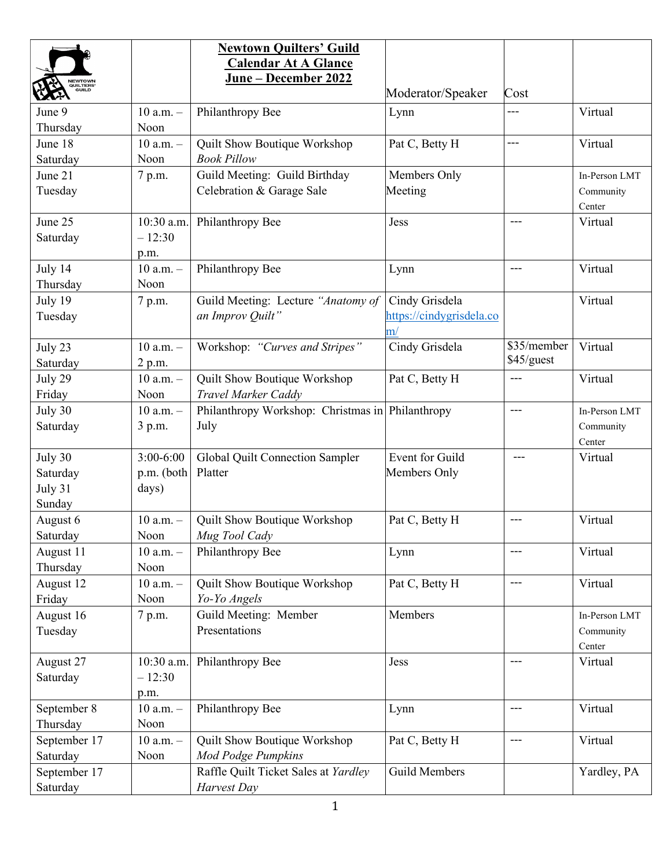|                          |               | <b>Newtown Quilters' Guild</b>                   |                          |                          |               |
|--------------------------|---------------|--------------------------------------------------|--------------------------|--------------------------|---------------|
|                          |               | <b>Calendar At A Glance</b>                      |                          |                          |               |
| <b>NEWTOWN</b>           |               | <u>June – December 2022</u>                      |                          |                          |               |
| <b>QUILTERS</b><br>GUILD |               |                                                  | Moderator/Speaker        | Cost                     |               |
| June 9                   | $10$ a.m. $-$ | Philanthropy Bee                                 | Lynn                     |                          | Virtual       |
| Thursday                 | Noon          |                                                  |                          |                          |               |
| June 18                  | $10$ a.m. $-$ | Quilt Show Boutique Workshop                     | Pat C, Betty H           | $---$                    | Virtual       |
| Saturday                 | Noon          | <b>Book Pillow</b>                               |                          |                          |               |
| June 21                  | 7 p.m.        | Guild Meeting: Guild Birthday                    | Members Only             |                          | In-Person LMT |
| Tuesday                  |               | Celebration & Garage Sale                        | Meeting                  |                          | Community     |
|                          |               |                                                  |                          |                          | Center        |
| June 25                  | 10:30 a.m.    | Philanthropy Bee                                 | Jess                     | $---$                    | Virtual       |
| Saturday                 | $-12:30$      |                                                  |                          |                          |               |
|                          | p.m.          |                                                  |                          |                          |               |
| July 14                  | $10$ a.m. $-$ | Philanthropy Bee                                 | Lynn                     | $---$                    | Virtual       |
| Thursday                 | Noon          |                                                  |                          |                          |               |
| July 19                  | 7 p.m.        | Guild Meeting: Lecture "Anatomy of               | Cindy Grisdela           |                          | Virtual       |
| Tuesday                  |               | an Improv Quilt"                                 | https://cindygrisdela.co |                          |               |
|                          |               |                                                  | $\mathbf{m}^{\prime}$    |                          |               |
| July 23                  | $10$ a.m. $-$ | Workshop: "Curves and Stripes"                   | Cindy Grisdela           | $\overline{\$35/member}$ | Virtual       |
| Saturday                 | 2 p.m.        |                                                  |                          | \$45/guest               |               |
| July 29                  | $10$ a.m. $-$ | Quilt Show Boutique Workshop                     | Pat C, Betty H           | ---                      | Virtual       |
|                          | Noon          | Travel Marker Caddy                              |                          |                          |               |
| Friday                   |               |                                                  |                          |                          |               |
| July 30                  | $10$ a.m. $-$ | Philanthropy Workshop: Christmas in Philanthropy |                          | $---$                    | In-Person LMT |
| Saturday                 | 3 p.m.        | July                                             |                          |                          | Community     |
|                          |               |                                                  |                          |                          | Center        |
| July 30                  | $3:00-6:00$   | Global Quilt Connection Sampler                  | Event for Guild          | ---                      | Virtual       |
| Saturday                 | p.m. (both    | Platter                                          | Members Only             |                          |               |
| July 31                  | days)         |                                                  |                          |                          |               |
| Sunday                   |               |                                                  |                          |                          |               |
| August 6                 | $10$ a.m. $-$ | Quilt Show Boutique Workshop                     | Pat C, Betty H           | ---                      | Virtual       |
| Saturday                 | Noon          | Mug Tool Cady                                    |                          |                          |               |
| August 11                | $10$ a.m. $-$ | Philanthropy Bee                                 | Lynn                     | $---$                    | Virtual       |
| Thursday                 | Noon          |                                                  |                          |                          |               |
| August 12                | $10$ a.m. $-$ | Quilt Show Boutique Workshop                     | Pat C, Betty H           | $---$                    | Virtual       |
| Friday                   | Noon          | Yo-Yo Angels                                     |                          |                          |               |
| August 16                | 7 p.m.        | Guild Meeting: Member                            | Members                  |                          | In-Person LMT |
| Tuesday                  |               | Presentations                                    |                          |                          | Community     |
|                          |               |                                                  |                          |                          | Center        |
| August 27                | 10:30 a.m.    | Philanthropy Bee                                 | Jess                     | $---$                    | Virtual       |
| Saturday                 | $-12:30$      |                                                  |                          |                          |               |
|                          | p.m.          |                                                  |                          |                          |               |
| September 8              | $10$ a.m. $-$ | Philanthropy Bee                                 | Lynn                     | $---$                    | Virtual       |
| Thursday                 | Noon          |                                                  |                          |                          |               |
| September 17             | $10$ a.m. $-$ | Quilt Show Boutique Workshop                     | Pat C, Betty H           | $---$                    | Virtual       |
| Saturday                 | Noon          | Mod Podge Pumpkins                               |                          |                          |               |
| September 17             |               | Raffle Quilt Ticket Sales at Yardley             | <b>Guild Members</b>     |                          | Yardley, PA   |
| Saturday                 |               | Harvest Day                                      |                          |                          |               |
|                          |               |                                                  |                          |                          |               |